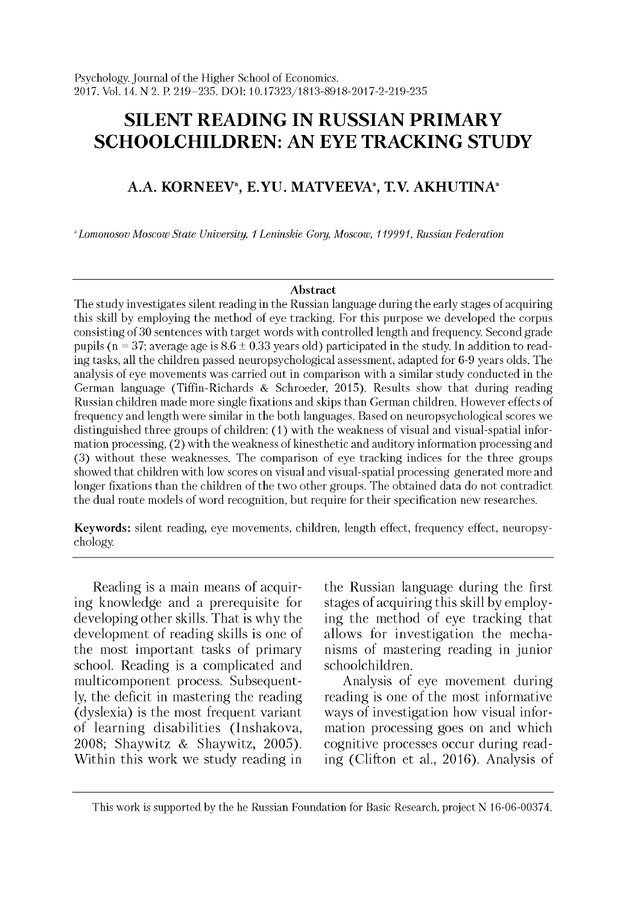# **SILENT READING IN RUSSIAN PRIMARY SCHOOLCHILDREN: AN EYE TRACKING STUDY**

## **A.A. KORNEEVa, E.YU. MATVEEVAa, T.V. AKHUTINAa**

*aLomonosov Moscow State University, 1 Leninskie Gory, Moscow, 119991, Russian Federation*

#### **Abstract**

The study investigates silent reading in the Russian language during the early stages of acquiring this skill by employing the method of eye tracking. For this purpose we developed the corpus consisting of 30 sentences with target words with controlled length and frequency. Second grade pupils (n = 37; average age is  $8.6 \pm 0.33$  years old) participated in the study. In addition to reading tasks, all the children passed neuropsychological assessment, adapted for 6-9 years olds. The analysis of eye movements was carried out in comparison with a similar study conducted in the German language (Tiffin-Richards & Schroeder, 2015). Results show that during reading Russian children made more single fixations and skips than German children. However effects of frequency and length were similar in the both languages. Based on neuropsychological scores we distinguished three groups of children: (1) with the weakness of visual and visual-spatial information processing, (2) with the weakness of kinesthetic and auditory information processing and (3) w ithout these weaknesses. The comparison of eye tracking indices for the three groups showed that children with low scores on visual and visual-spatial processing generated more and longer fixations than the children of the two other groups. The obtained data do not contradict the dual route models of word recognition, but require for their specification new researches.

**Keywords:** silent reading, eye movements, children, length effect, frequency effect, neuropsychology.

Reading is a main means of acquiring knowledge and a prerequisite for developing other skills. That is why the development of reading skills is one of the most important tasks of primary school. Reading is a complicated and multicomponent process. Subsequently, the deficit in mastering the reading (dyslexia) is the most frequent variant of learning disabilities (Inshakova, 2008; Shaywitz & Shaywitz, 2005). Within this work we study reading in

the Russian language during the first stages of acquiring this skill by employing the method of eye tracking that allows for investigation the mechanisms of mastering reading in junior schoolchildren.

Analysis of eye movement during reading is one of the most informative ways of investigation how visual information processing goes on and which cognitive processes occur during reading (Clifton et al., 2016). Analysis of

This work is supported by the he Russian Foundation for Basic Research, project N 16-06-00374.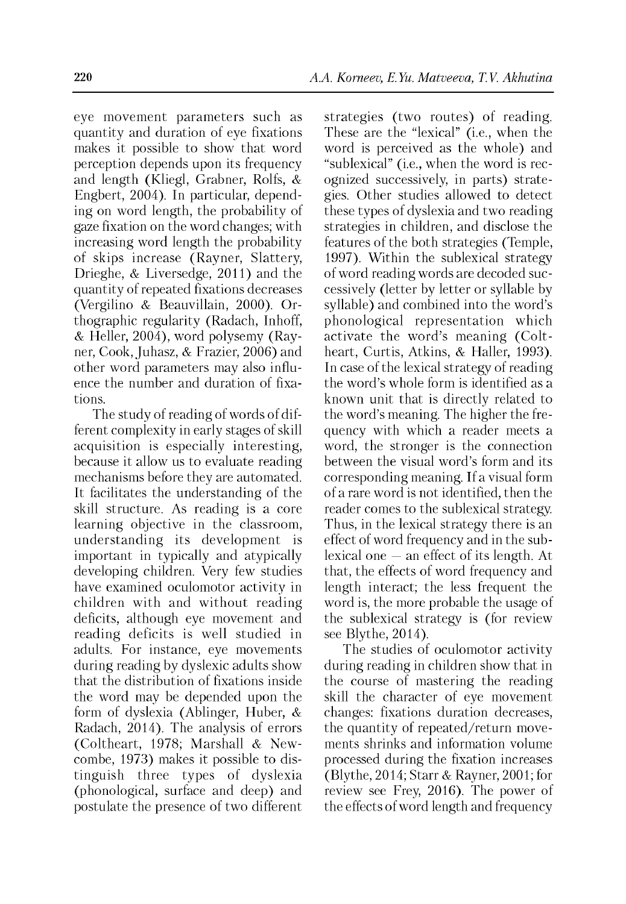*eye* movement parameters such as quantity and duration of eye fixations makes it possible to show that word perception depends upon its frequency and length (Kliegl, Grabner, Rolfs, & Engbert, 2004). In particular, depending on word length, the probability of gaze fixation on the word changes; with increasing word length the probability of skips increase (Rayner, Slattery, Drieghe, & Liversedge, 2011) and the quantity of repeated fixations decreases (Vergilino & Beauvillain, 2000). Orthographic regularity (Radach, Inhoff, & Heller, 2004), word polysemy (Rayner, Cook, Juhasz, & Frazier, 2006) and other word parameters may also influence the number and duration of fixations.

The study of reading of words of different complexity in early stages of skill acquisition is especially interesting, because it allow us to evaluate reading mechanisms before they are automated. It facilitates the understanding of the skill structure. As reading is a core learning objective in the classroom, understanding its development is important in typically and atypically developing children. Very few studies have examined oculomotor activity in children with and without reading deficits, although eye movement and reading deficits is well studied in adults. For instance, eye movements during reading by dyslexic adults show that the distribution of fixations inside the word may be depended upon the form of dyslexia (Ablinger, Huber, & Radach, 2014). The analysis of errors (Coltheart, 1978; Marshall & Newcombe, 1973) makes it possible to distinguish three types of dyslexia (phonological, surface and deep) and postulate the presence of two different

strategies (two routes) of reading. These are the "lexical" (i.e., when the word is perceived as the whole) and "sublexical" (i.e., when the word is recognized successively, in parts) strategies. Other studies allowed to detect these types of dyslexia and two reading strategies in children, and disclose the features of the both strategies (Temple, 1997). Within the sublexical strategy of word reading words are decoded successively (letter by letter or syllable by syllable) and combined into the word's phonological representation which activate the word's meaning (Coltheart, Curtis, Atkins, & Haller, 1993). In case of the lexical strategy of reading the word's whole form is identified as a known unit that is directly related to the word's meaning. The higher the frequency with which a reader meets a word, the stronger is the connection between the visual word's form and its corresponding meaning. If a visual form of a rare word is not identified, then the reader comes to the sublexical strategy. Thus, in the lexical strategy there is an effect of word frequency and in the sublexical one — an effect of its length. At that, the effects of word frequency and length interact; the less frequent the word is, the more probable the usage of the sublexical strategy is (for review see Blythe, 2014).

The studies of oculomotor activity during reading in children show that in the course of mastering the reading skill the character of eye movement changes: fixations duration decreases, the quantity of repeated/return movements shrinks and information volume processed during the fixation increases (Blythe, 2014; Starr & Rayner, 2001; for review see Frey, 2016). The power of the effects of word length and frequency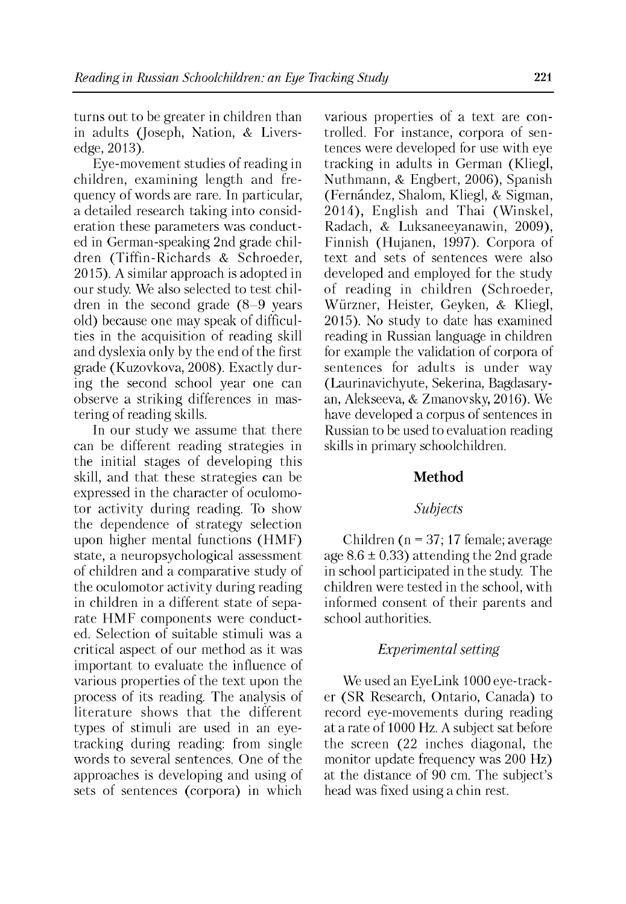turns out to be greater in children than in adults (Joseph, Nation, & Liversedge, 2013).

Eye-movement studies of reading in children, examining length and frequency of words are rare. In particular, a detailed research taking into consideration these parameters was conducted in German-speaking 2nd grade children (Tiffin-Richards & Schroeder, 2015). A similar approach is adopted in our study. We also selected to test children in the second grade (8-9 years old) because one may speak of difficulties in the acquisition of reading skill and dyslexia only by the end of the first grade (Kuzovkova, 2008). Exactly during the second school year one can observe a striking differences in mastering of reading skills.

In our study we assume that there can be different reading strategies in the initial stages of developing this skill, and that these strategies can be expressed in the character of oculomotor activity during reading. To show the dependence of strategy selection upon higher mental functions (HMF) state, a neuropsychological assessment of children and a comparative study of the oculomotor activity during reading in children in a different state of separate HMF components were conducted. Selection of suitable stimuli was a critical aspect of our method as it was important to evaluate the influence of various properties of the text upon the process of its reading. The analysis of literature shows that the different types of stimuli are used in an eyetracking during reading: from single words to several sentences. One of the approaches is developing and using of sets of sentences (corpora) in which

various properties of a text are controlled. For instance, corpora of sentences were developed for use with eye tracking in adults in German (Kliegl, Nuthmann, & Engbert, 2006), Spanish (Fernández, Shalom, Kliegl, & Sigman, 2014) , English and Thai (Winskel, Radach, & Luksaneeyanawin, 2009), Finnish (Hujanen, 1997). Corpora of text and sets of sentences were also developed and employed for the study of reading in children (Schroeder, Wurzner, Heister, Geyken, & Kliegl, 2015) . No study to date has examined reading in Russian language in children for example the validation of corpora of sentences for adults is under way (Laurinavichyute, Sekerina, Bagdasaryan, Alekseeva, & Zmanovsky, 2016). We have developed a corpus of sentences in Russian to be used to evaluation reading skills in primary schoolchildren.

## **Method**

## *Subjects*

Children (n = 37; 17 female; average age  $8.6 \pm 0.33$ ) attending the 2nd grade in school participated in the study. The children were tested in the school, with informed consent of their parents and school authorities.

## *Experimental setting*

We used an EyeLink 1000 eye-tracker (SR Research, Ontario, Canada) to record eye-movements during reading at a rate of 1000 Hz. A subject sat before the screen (22 inches diagonal, the monitor update frequency was 200 Hz) at the distance of 90 cm. The subject's head was fixed using a chin rest.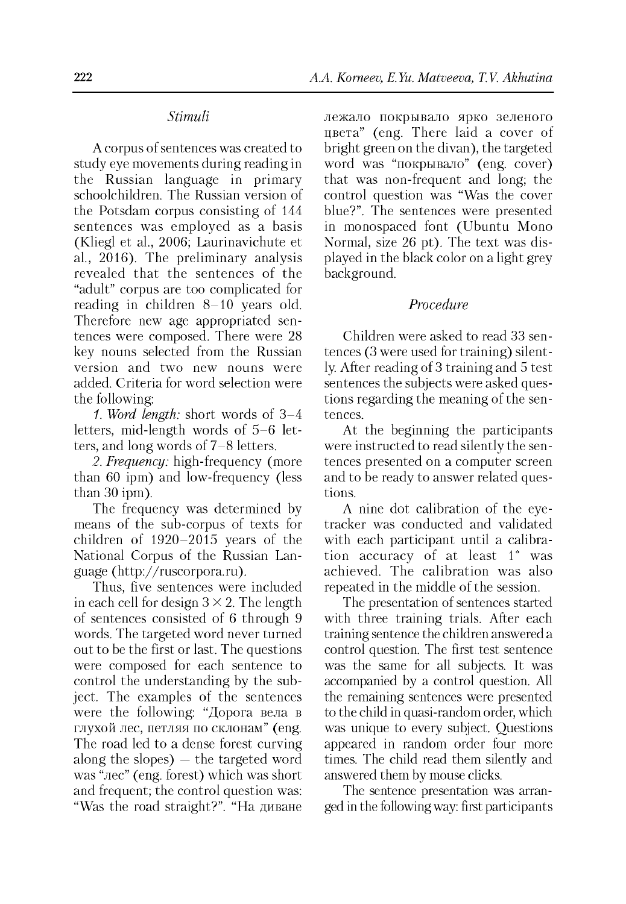#### *Stimuli*

A corpus of sentences was created to study eye movements during reading in the Russian language in primary schoolchildren. The Russian version of the Potsdam corpus consisting of 144 sentences was employed as a basis (Kliegl et al., 2006; Laurinavichute et al., 2016). The preliminary analysis revealed that the sentences of the "adult" corpus are too complicated for reading in children 8-10 years old. Therefore new age appropriated sentences were composed. There were 28 key nouns selected from the Russian version and two new nouns were added. Criteria for word selection were the following:

*1. Word length:* short words of 3-4 letters, mid-length words of 5-6 letters, and long words of 7-8 letters.

*2. Frequency:* high-frequency (more than 60 ipm) and low-frequency (less than 30 ipm).

The frequency was determined by means of the sub-corpus of texts for children of 1920-20І5 years of the National Corpus of the Russian Language ([http://ruscorpora.ru\)](http://ruscorpora.ru).

Thus, five sentences were included in each cell for design  $3 \times 2$ . The length of sentences consisted of 6 through 9 words. The targeted word never turned out to be the first or last. The questions were composed for each sentence to control the understanding by the subject. The examples of the sentences were the following: "Дорога вела в глухой лес, петляя по склонам" (eng. The road led to a dense forest curving along the slopes)  $-$  the targeted word was "лес" (eng. forest) which was short and frequent; the control question was: "Was the road straight?". "На диване лежало покрывало ярко зеленого цвета" (eng. There laid a cover of bright green on the divan), the targeted word was "покрывало" (eng. cover) that was non-frequent and long; the control question was "Was the cover blue?". The sentences were presented in monospaced font (Ubuntu Mono Normal, size 26 pt). The text was displayed in the black color on a light grey background.

## *Procedure*

Children were asked to read 33 sentences (3 were used for training) silently. After reading of 3 training and 5 test sentences the subjects were asked questions regarding the meaning of the sentences.

At the beginning the participants were instructed to read silently the sentences presented on a computer screen and to be ready to answer related questions.

A nine dot calibration of the eyetracker was conducted and validated with each participant until a calibration accuracy of at least 1° was achieved. The calibration was also repeated in the middle of the session.

The presentation of sentences started with three training trials. After each training sentence the children answered a control question. The first test sentence was the same for all subjects. It was accompanied by a control question. All the remaining sentences were presented to the child in quasi-random order, which was unique to every subject. Questions appeared in random order four more times. The child read them silently and answered them by mouse clicks.

The sentence presentation was arranged in the following way: first participants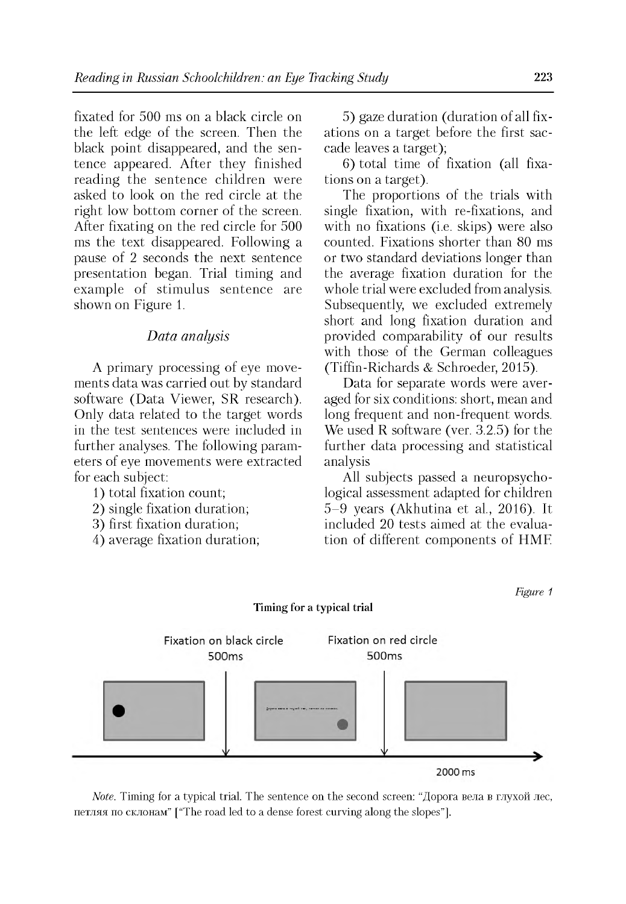fixated for 500 ms on a black circle on the left edge of the screen. Then the black point disappeared, and the sentence appeared. After they finished reading the sentence children were asked to look on the red circle at the right low bottom corner of the screen. After fixating on the red circle for 500 ms the text disappeared. Following a pause of 2 seconds the next sentence presentation began. Trial timing and example of stimulus sentence are shown on Figure 1.

#### *Data analysis*

A primary processing of eye movements data was carried out by standard software (Data Viewer, SR research). Only data related to the target words in the test sentences were included in further analyses. The following parameters of eye movements were extracted for each subject:

1) total fixation count;

- 2) single fixation duration;
- 3) first fixation duration;
- 4) average fixation duration;

5) gaze duration (duration of all fixations on a target before the first saccade leaves a target);

6) total time of fixation (all fixations on a target).

The proportions of the trials with single fixation, with re-fixations, and with no fixations (i.e. skips) were also counted. Fixations shorter than 80 ms or two standard deviations longer than the average fixation duration for the whole trial were excluded from analysis. Subsequently, we excluded extremely short and long fixation duration and provided comparability of our results with those of the German colleagues (Tiffin-Richards & Schroeder, 2015).

Data for separate words were averaged for six conditions: short, mean and long frequent and non-frequent words. We used R software (ver. 3.2.5) for the further data processing and statistical analysis

All subjects passed a neuropsychological assessment adapted for children 5-9 years (Akhutina et al., 2016). It included 20 tests aimed at the evaluation of different components of HMF.

*Figure 1*



**Timing for a typical trial**

*Note.* Timing for a typical trial. The sentence on the second screen: "Дорога вела в глухой лес, петляя по склонам" ["The road led to a dense forest curving along the slopes"].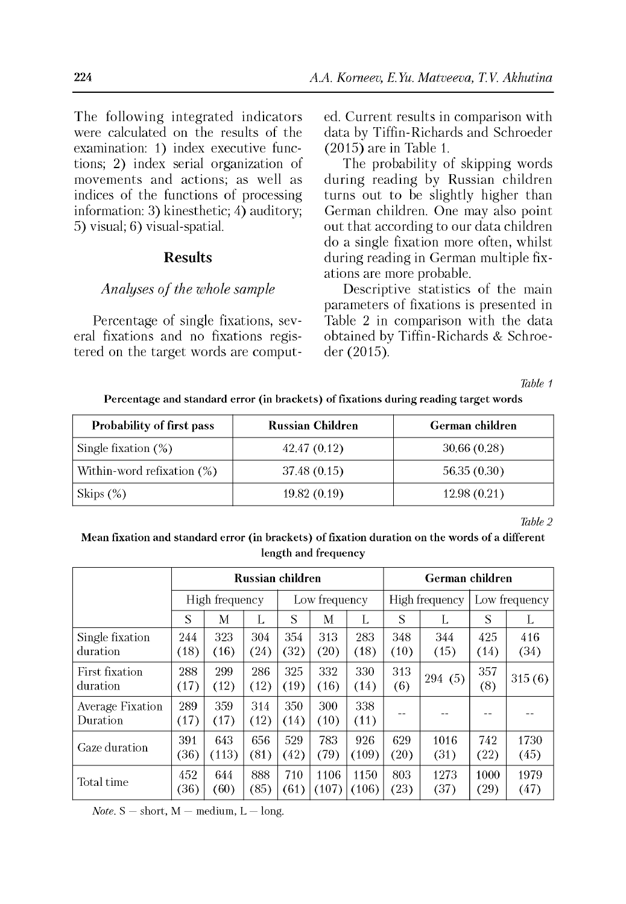The following integrated indicators were calculated on the results of the examination: 1) index executive functions; 2) index serial organization of movements and actions; as well as indices of the functions of processing information: 3) kinesthetic; 4) auditory; 5) visual; 6) visual-spatial.

## **Results**

#### *Analyses of the whole sample*

Percentage of single fixations, several fixations and no fixations registered on the target words are computed. Current results in comparison with data by Tiffin-Richards and Schroeder (2015) are in Table 1.

The probability of skipping words during reading by Russian children turns out to be slightly higher than German children. One may also point out that according to our data children do a single fixation more often, whilst during reading in German multiple fixations are more probable.

Descriptive statistics of the main parameters of fixations is presented in Table 2 in comparison with the data obtained by Tiffin-Richards & Schroeder (2015).

*Table 1*

**Percentage and standard error (in brackets) of fixations during reading target words**

| Probability of first pass     | <b>Russian Children</b> | German children |
|-------------------------------|-------------------------|-----------------|
| Single fixation $(\%)$        | 42.47 (0.12)            | 30.66(0.28)     |
| Within-word refixation $(\%)$ | 37.48 (0.15)            | 56.35 (0.30)    |
| Skips $(\%)$                  | 19.82(0.19)             | 12.98(0.21)     |

*Table 2*

## **Mean fixation and standard error (in brackets) of fixation duration on the words of a different length and frequency**

|                              | Russian children |                |             |             |               |               | German children |                |               |              |  |
|------------------------------|------------------|----------------|-------------|-------------|---------------|---------------|-----------------|----------------|---------------|--------------|--|
|                              |                  | High frequency |             |             | Low frequency |               |                 | High frequency | Low frequency |              |  |
|                              | S                | М              | L           | S           | М             | L             | S               |                | S             |              |  |
| Single fixation<br>duration  | 244<br>(18)      | 323<br>(16)    | 304<br>(24) | 354<br>(32) | 313<br>(20)   | 283<br>(18)   | 348<br>(10)     | 344<br>(15)    | 425<br>(14)   | 416<br>(34)  |  |
| First fixation<br>duration   | 288<br>(17)      | 299<br>(12)    | 286<br>(12) | 325<br>(19) | 332<br>(16)   | 330<br>(14)   | 313<br>(6)      | 294(5)         | 357<br>(8)    | 315(6)       |  |
| Average Fixation<br>Duration | 289<br>(17)      | 359<br>(17)    | 314<br>(12) | 350<br>(14) | 300<br>(10)   | 338<br>(11)   |                 |                |               |              |  |
| Gaze duration                | 391<br>(36)      | 643<br>(113)   | 656<br>(81) | 529<br>(42) | 783<br>(79)   | 926<br>(109)  | 629<br>(20)     | 1016<br>(31)   | 742<br>(22)   | 1730<br>(45) |  |
| Total time                   | 452<br>(36)      | 644<br>(60)    | 888<br>(85) | 710<br>(61) | 1106<br>(107) | 1150<br>(106) | 803<br>(23)     | 1273<br>(37)   | 1000<br>(29)  | 1979<br>(47) |  |

*Note.*  $S -$  short,  $M -$  medium,  $L -$  long.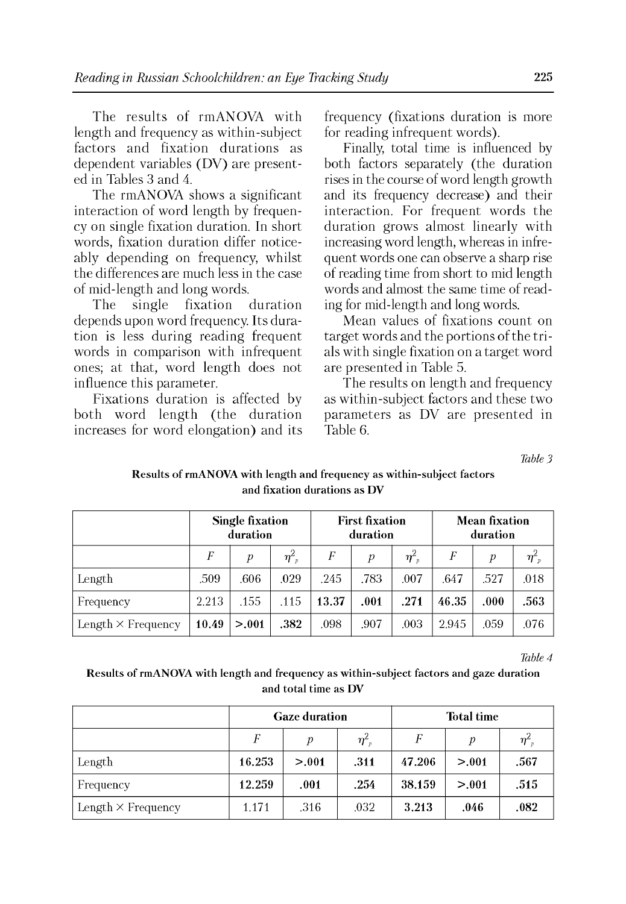The results of rmANOVA with length and frequency as within-subject factors and fixation durations as dependent variables (DV) are presented in Tables 3 and 4.

The rmANOVA shows a significant interaction of word length by frequency on single fixation duration. In short words, fixation duration differ noticeably depending on frequency, whilst the differences are much less in the case of mid-length and long words.<br>The single fixation

The single fixation duration depends upon word frequency. Its duration is less during reading frequent words in comparison with infrequent ones; at that, word length does not influence this parameter.

Fixations duration is affected by both word length (the duration increases for word elongation) and its frequency (fixations duration is more for reading infrequent words).

Finally, total time is influenced by both factors separately (the duration rises in the course of word length growth and its frequency decrease) and their interaction. For frequent words the duration grows almost linearly with increasing word length, whereas in infrequent words one can observe a sharp rise of reading time from short to mid length words and almost the same time of reading for mid-length and long words.

Mean values of fixations count on target words and the portions of the trials with single fixation on a target word are presented in Table 5.

The results on length and frequency as within-subject factors and these two parameters as DV are presented in Table 6.

*Table 3*

|                           | <b>Single fixation</b><br>duration |         |                                  |       | <b>First fixation</b><br>duration |                                  |       | <b>Mean fixation</b><br>duration |                            |  |
|---------------------------|------------------------------------|---------|----------------------------------|-------|-----------------------------------|----------------------------------|-------|----------------------------------|----------------------------|--|
|                           | F                                  | р       | $\eta_{\scriptscriptstyle -p}^2$ | F     | р                                 | $\eta_{\scriptscriptstyle -p}^2$ | F     | р                                | $\boldsymbol{\eta}_{-p}^2$ |  |
| Length                    | .509                               | .606    | .029                             | .245  | .783                              | .007                             | .647  | .527                             | .018                       |  |
| Frequency                 | 2.213                              | .155    | .115                             | 13.37 | .001                              | .271                             | 46.35 | .000                             | .563                       |  |
| Length $\times$ Frequency | 10.49                              | > 0.001 | .382                             | .098  | .907                              | .003                             | 2.945 | .059                             | .076                       |  |

## Results of rmANOVA with length and frequency as within-subject factors and fixation durations as DV

*Table 4*

## Results of rmANOVA with length and frequency as within-subject factors and gaze duration and total time as DV

|                           |                                                               | <b>Gaze duration</b> |      | <b>Total time</b> |                |      |  |
|---------------------------|---------------------------------------------------------------|----------------------|------|-------------------|----------------|------|--|
|                           | $\boldsymbol{\eta}^2_{\phantom{2}p}$<br>F<br>$\boldsymbol{v}$ |                      | F    | $\boldsymbol{p}$  | $\eta_{\nu}^2$ |      |  |
| Length                    | 16.253                                                        | > 0.01               | .311 | 47.206            | > 0.01         | .567 |  |
| Frequency                 | 12.259                                                        | .001                 | .254 | 38.159            | > 0.01         | .515 |  |
| Length $\times$ Frequency | 1.171                                                         | .316                 | .032 | 3.213             | .046           | .082 |  |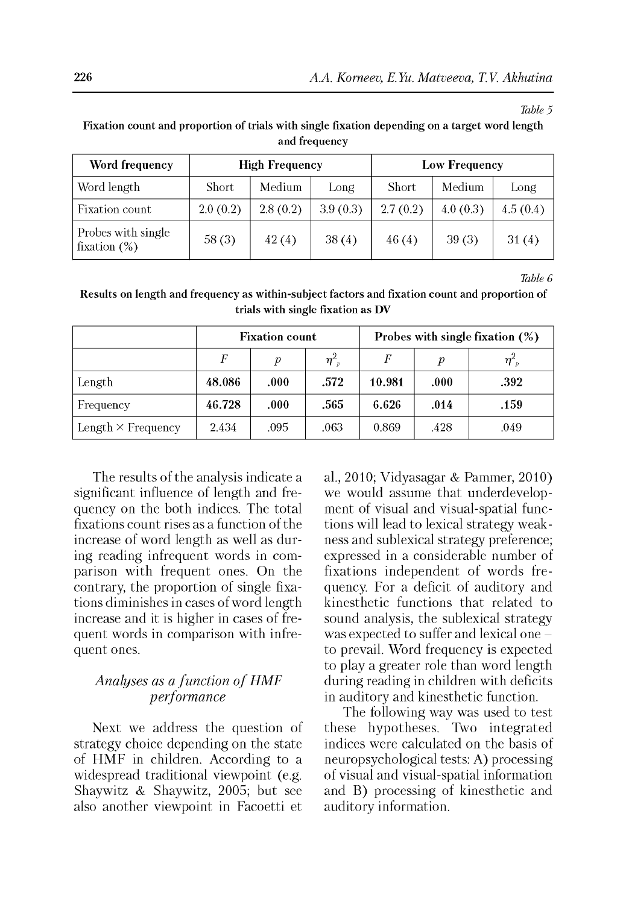*Table 5*

**Fixation count and proportion of trials with single fixation depending on a target word length and frequency**

| Word frequency                        |              | <b>High Frequency</b> |          | Low Frequency |          |          |  |
|---------------------------------------|--------------|-----------------------|----------|---------------|----------|----------|--|
| Word length                           | <b>Short</b> | Medium                | Long     | Short         | Medium   | Long     |  |
| Fixation count                        | 2.0(0.2)     | 2.8(0.2)              | 3.9(0.3) | 2.7(0.2)      | 4.0(0.3) | 4.5(0.4) |  |
| Probes with single<br>fixation $(\%)$ | 58(3)        | 42(4)                 | 38(4)    | 46(4)         | 39(3)    | 31(4)    |  |

*Table 6*

**Results on length and frequency as within-subject factors and fixation count and proportion of trials with single fixation as DV**

|                           |        | <b>Fixation count</b> |                                  | Probes with single fixation $(\%)$ |      |                |  |  |
|---------------------------|--------|-----------------------|----------------------------------|------------------------------------|------|----------------|--|--|
|                           | F      | p                     | $\eta_{\scriptscriptstyle -p}^2$ | F                                  | v    | $\eta_{\nu}^2$ |  |  |
| Length                    | 48.086 | .000                  | .572                             | 10.981                             | .000 | .392           |  |  |
| Frequency                 | 46.728 | .000                  | .565                             | 6.626                              | .014 | .159           |  |  |
| Length $\times$ Frequency | 2.434  | .095                  | .063                             | 0.869                              | .428 | .049           |  |  |

The results of the analysis indicate a significant influence of length and frequency on the both indices. The total fixations count rises as a function of the increase of word length as well as during reading infrequent words in comparison with frequent ones. On the contrary, the proportion of single fixations diminishes in cases of word length increase and it is higher in cases of frequent words in comparison with infrequent ones.

## *Analyses as a function of HMF performance*

Next we address the question of strategy choice depending on the state of HMF in children. According to a widespread traditional viewpoint (e.g. Shaywitz & Shaywitz, 2005; but see also another viewpoint in Facoetti et

al., 2010; Vidyasagar & Pammer, 2010) we would assume that underdevelopment of visual and visual-spatial functions will lead to lexical strategy weakness and sublexical strategy preference; expressed in a considerable number of fixations independent of words frequency. For a deficit of auditory and kinesthetic functions that related to sound analysis, the sublexical strategy was expected to suffer and lexical one to prevail. Word frequency is expected to play a greater role than word length during reading in children with deficits in auditory and kinesthetic function.

The following way was used to test these hypotheses. Two integrated indices were calculated on the basis of neuropsychological tests: A) processing of visual and visual-spatial information and B) processing of kinesthetic and auditory information.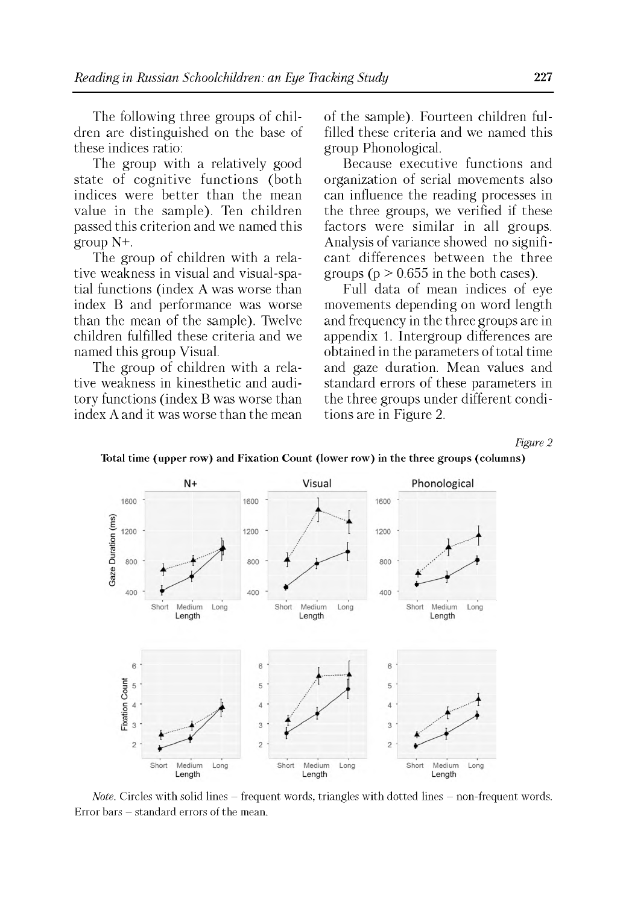The following three groups of children are distinguished on the base of these indices ratio:

The group with a relatively good state of cognitive functions (both indices were better than the mean value in the sample). Ten children passed this criterion and we named this group N+.

The group of children with a relative weakness in visual and visual-spatial functions (index A was worse than index B and performance was worse than the mean of the sample). Twelve children fulfilled these criteria and we named this group Visual.

The group of children with a relative weakness in kinesthetic and auditory functions (index B was worse than index A and it was worse than the mean of the sample). Fourteen children fulfilled these criteria and we named this group Phonological.

Because executive functions and organization of serial movements also can influence the reading processes in the three groups, we verified if these factors were similar in all groups. Analysis of variance showed no significant differences between the three groups ( $p > 0.655$  in the both cases).

Full data of mean indices of eye movements depending on word length and frequency in the three groups are in appendix 1. Intergroup differences are obtained in the parameters of total time and gaze duration. Mean values and standard errors of these parameters in the three groups under different conditions are in Figure 2.

*Figure 2*



**Total time (upper row) and Fixation Count (lower row) in the three groups (columns)**

*Note.* Circles with solid lines – frequent words, triangles with dotted lines – non-frequent words. Error bars - standard errors of the mean.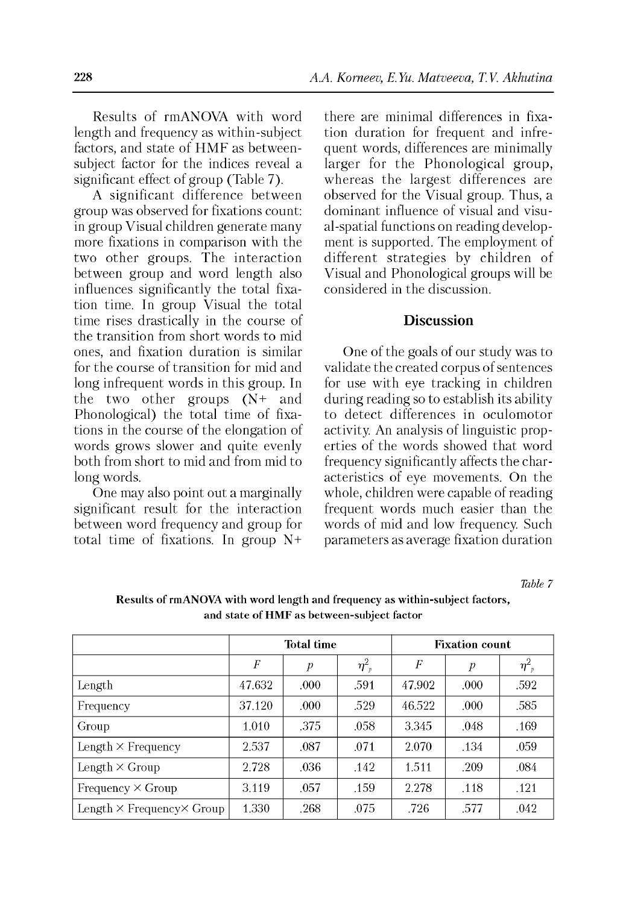Results of rmANOVA with word length and frequency as within-subject factors, and state of HMF as betweensubject factor for the indices reveal a significant effect of group (Table 7).

A significant difference between group was observed for fixations count: in group Visual children generate many more fixations in comparison with the two other groups. The interaction between group and word length also influences significantly the total fixation time. In group Visual the total time rises drastically in the course of the transition from short words to mid ones, and fixation duration is similar for the course of transition for mid and long infrequent words in this group. In the two other groups (N+ and Phonological) the total time of fixations in the course of the elongation of words grows slower and quite evenly both from short to mid and from mid to long words.

One may also point out a marginally significant result for the interaction between word frequency and group for total time of fixations. In group N+ there are minimal differences in fixation duration for frequent and infrequent words, differences are minimally larger for the Phonological group, whereas the largest differences are observed for the Visual group. Thus, a dominant influence of visual and visual-spatial functions on reading development is supported. The employment of different strategies by children of Visual and Phonological groups will be considered in the discussion.

## **Discussion**

One of the goals of our study was to validate the created corpus of sentences for use with eye tracking in children during reading so to establish its ability to detect differences in oculomotor activity. An analysis of linguistic properties of the words showed that word frequency significantly affects the characteristics of eye movements. On the whole, children were capable of reading frequent words much easier than the words of mid and low frequency. Such parameters as average fixation duration

*Table 7*

|                                          |        | <b>Total time</b> |                                  | <b>Fixation count</b> |                  |                |  |
|------------------------------------------|--------|-------------------|----------------------------------|-----------------------|------------------|----------------|--|
|                                          | F      | $\boldsymbol{p}$  | $\eta_{\scriptscriptstyle -p}^2$ | F                     | $\boldsymbol{p}$ | $\eta_{\ p}^2$ |  |
| Length                                   | 47.632 | .000              | .591                             | 47.902                | .000             | .592           |  |
| Frequency                                | 37.120 | .000              | .529                             | 46.522                | .000             | .585           |  |
| Group                                    | 1.010  | .375              | .058                             | 3.345                 | .048             | .169           |  |
| Length $\times$ Frequency                | 2.537  | .087              | .071                             | 2.070                 | .134             | .059           |  |
| Length $\times$ Group                    | 2.728  | .036              | .142                             | 1.511                 | .209             | .084           |  |
| Frequency $\times$ Group                 | 3.119  | .057              | .159                             | 2.278                 | .118             | .121           |  |
| Length $\times$ Frequency $\times$ Group | 1.330  | .268              | .075                             | .726                  | .577             | .042           |  |

**Results of rmANOVA with word length and frequency as within-subject factors, and state of HMF as between-subject factor**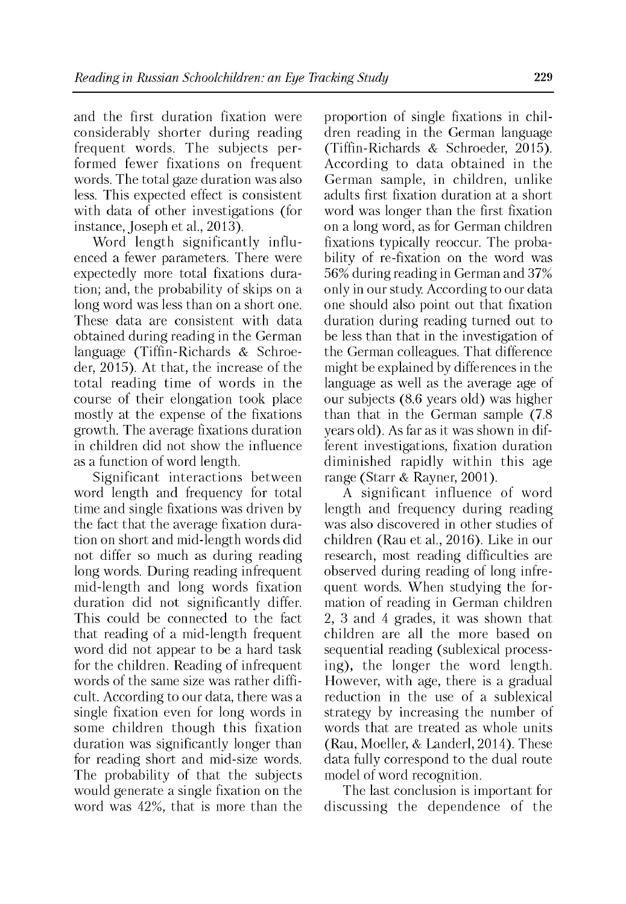and the first duration fixation were considerably shorter during reading frequent words. The subjects performed fewer fixations on frequent words. The total gaze duration was also less. This expected effect is consistent with data of other investigations (for instance, Joseph et al., 2013).

Word length significantly influenced a fewer parameters. There were expectedly more total fixations duration; and, the probability of skips on a long word was less than on a short one. These data are consistent with data obtained during reading in the German language (Tiffin-Richards & Schroeder, 2015). At that, the increase of the total reading time of words in the course of their elongation took place mostly at the expense of the fixations growth. The average fixations duration in children did not show the influence as a function of word length.

Significant interactions between word length and frequency for total time and single fixations was driven by the fact that the average fixation duration on short and mid-length words did not differ so much as during reading long words. During reading infrequent mid-length and long words fixation duration did not significantly differ. This could be connected to the fact that reading of a mid-length frequent word did not appear to be a hard task for the children. Reading of infrequent words of the same size was rather difficult. According to our data, there was a single fixation even for long words in some children though this fixation duration was significantly longer than for reading short and mid-size words. The probability of that the subjects would generate a single fixation on the word was 42%, that is more than the proportion of single fixations in children reading in the German language (Tiffin-Richards & Schroeder, 2015). According to data obtained in the German sample, in children, unlike adults first fixation duration at a short word was longer than the first fixation on a long word, as for German children fixations typically reoccur. The probability of re-fixation on the word was 56% during reading in German and 37% only in our study. According to our data one should also point out that fixation duration during reading turned out to be less than that in the investigation of the German colleagues. That difference might be explained by differences in the language as well as the average age of our subjects (8.6 years old) was higher than that in the German sample (7.8 years old). As far as it was shown in different investigations, fixation duration diminished rapidly within this age range (Starr & Rayner, 2001).

A significant influence of word length and frequency during reading was also discovered in other studies of children (Rau et al., 2016). Like in our research, most reading difficulties are observed during reading of long infrequent words. When studying the formation of reading in German children 2, 3 and 4 grades, it was shown that children are all the more based on sequential reading (sublexical processing), the longer the word length. However, with age, there is a gradual reduction in the use of a sublexical strategy by increasing the number of words that are treated as whole units (Rau, Moeller, & Landerl, 2014). These data fully correspond to the dual route model of word recognition.

The last conclusion is important for discussing the dependence of the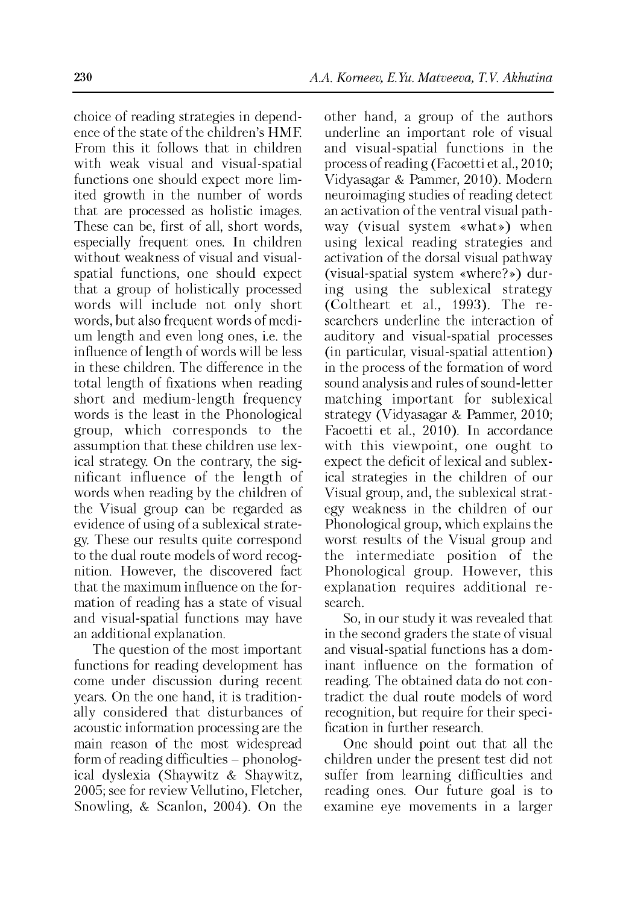choice of reading strategies in dependence of the state of the children's HMF. From this it follows that in children with weak visual and visual-spatial functions one should expect more limited growth in the number of words that are processed as holistic images. These can be, first of all, short words, especially frequent ones. In children without weakness of visual and visualspatial functions, one should expect that a group of holistically processed words will include not only short words, but also frequent words of medium length and even long ones, i.e. the influence of length of words will be less in these children. The difference in the total length of fixations when reading short and medium-length frequency words is the least in the Phonological group, which corresponds to the assumption that these children use lexical strategy. On the contrary, the significant influence of the length of words when reading by the children of the Visual group can be regarded as evidence of using of a sublexical strategy. These our results quite correspond to the dual route models of word recognition. However, the discovered fact that the maximum influence on the formation of reading has a state of visual and visual-spatial functions may have an additional explanation.

The question of the most important functions for reading development has come under discussion during recent years. On the one hand, it is traditionally considered that disturbances of acoustic information processing are the main reason of the most widespread form of reading difficulties  $-$  phonological dyslexia (Shaywitz & Shaywitz, 2005; see for review Vellutino, Fletcher, Snowling, & Scanlon, 2004). On the

other hand, a group of the authors underline an important role of visual and visual-spatial functions in the process of reading (Facoetti et al., 2010; Vidyasagar & Pammer, 2010). Modern neuroimaging studies of reading detect an activation of the ventral visual pathway (visual system «what») when using lexical reading strategies and activation of the dorsal visual pathway (visual-spatial system «where?») during using the sublexical strategy (Coltheart et al., 1993). The researchers underline the interaction of auditory and visual-spatial processes (in particular, visual-spatial attention) in the process of the formation of word sound analysis and rules of sound-letter matching important for sublexical strategy (Vidyasagar & Pammer, 2010; Facoetti et al., 2010). In accordance with this viewpoint, one ought to expect the deficit of lexical and sublexical strategies in the children of our Visual group, and, the sublexical strategy weakness in the children of our Phonological group, which explains the worst results of the Visual group and the intermediate position of the Phonological group. However, this explanation requires additional research.

So, in our study it was revealed that in the second graders the state of visual and visual-spatial functions has a dominant influence on the formation of reading. The obtained data do not contradict the dual route models of word recognition, but require for their specification in further research.

One should point out that all the children under the present test did not suffer from learning difficulties and reading ones. Our future goal is to examine eye movements in a larger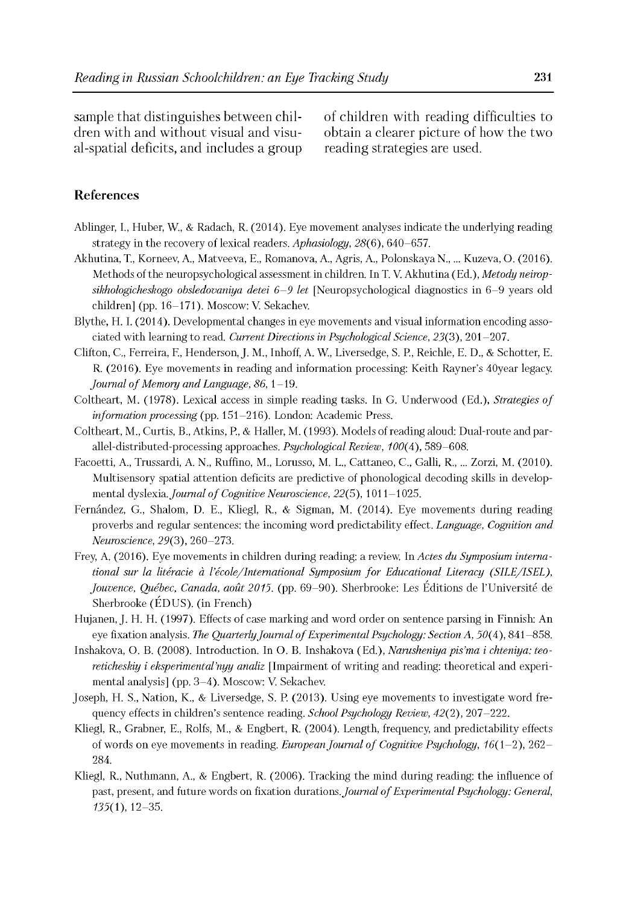sample that distinguishes between children with and without visual and visual-spatial deficits, and includes a group of children with reading difficulties to obtain a clearer picture of how the two reading strategies are used.

## **References**

- Ablinger, I., Huber, W., & Radach, R. (2014). Eye movement analyses indicate the underlying reading strategy in the recovery of lexical readers. *Aphasiology,* 28(6), 640-657.
- Akhutina, T., Korneev, A., Matveeva, E., Romanova, A., Agris, A., Polonskaya N.....Kuzeva, O. (2016). Methods of the neuropsychological assessment in children. In T. V. Akhutina (Ed.), *Metody neiropsikhologicheskogo obsledovaniya detei 6 -9 let* [Neuropsychological diagnostics in 6-9 years old children] (pp. 16-171). Moscow: V. Sekachev.
- Blythe, H. I. (2014). Developmental changes in eye movements and visual information encoding associated with learning to read. *Current Directions in Psychological Science,* 23(3), 201-207.
- Clifton, C., Ferreira, F., Henderson, J. M., Inhoff, A. W., Liversedge, S. P., Reichle, E. D., & Schotter, E. R. (2016). Eye movements in reading and information processing: Keith Rayner's 40year legacy. Journal of Memory and Language, 86, 1-19.
- Coltheart, M. (1978). Lexical access in simple reading tasks. In G. Underwood (Ed.), *Strategies of information processing* (pp. 151-216). London: Academic Press.
- Coltheart, M., Curtis, B., Atkins, P., & Haller, M. (1993). Models of reading aloud: Dual-route and parallel-distributed-processing approaches. *Psychological Review, 100(4),* 589-608.
- Facoetti, A., Trussardi, A. N., Ruffino, M., Lorusso, M. L., Cattaneo, C., Galli, R.....Zorzi, M. (2010). Multisensory spatial attention deficits are predictive of phonological decoding skills in developmental dyslexia. *Journal of Cognitive Neuroscience*, 22(5), 1011-1025.
- Fernández, G., Shalom, D. E., Kliegl, R., & Sigman, M. (2014). Eye movements during reading proverbs and regular sentences: the incoming word predictability effect. *Language, Cognition and Neuroscience*, *29*(3), 260-273.
- Frey, A. (2016). Eye movements in children during reading: a review. In *Actes du Symposium international sur la literacie a l'ecole/International Symposium fo r Educational Literacy (SILE/ISEL),* Jouvence, Québec, Canada, août 2015. (pp. 69-90). Sherbrooke: Les Éditions de l'Université de Sherbrooke (EDUS). (in French)
- Hujanen, J. H. H. (1997). Effects of case marking and word order on sentence parsing in Finnish: An eye fixation analysis. *The Quarterly Journal of Experimental Psychology: Section A, 50(4), 841–858.*
- Inshakova, O. B. (2008). Introduction. In O. B. Inshakova (Ed.), *Narusheniya pis'ma i chteniya: teoreticheskiy i eksperimental'nyy analiz* [Impairment of writing and reading: theoretical and experimental analysis] (pp. 3-4). Moscow: V. Sekachev.
- Joseph, H. S., Nation, K., & Liversedge, S. P. (2013). Using eye movements to investigate word frequency effects in children's sentence reading. *School Psychology Review,* 42(2), 207-222.
- Kliegl, R., Grabner, E., Rolfs, M., & Engbert, R. (2004). Length, frequency, and predictability effects of words on eye movements in reading. *European Journal of Cognitive Psychology,* 16(1–2), 262– 284.
- Kliegl, R., Nuthmann, A., & Engbert, R. (2006). Tracking the mind during reading: the influence of past, present, and future words on fixation durations. *Journal of Experimental Psychology: General*, 135(1), 12-35.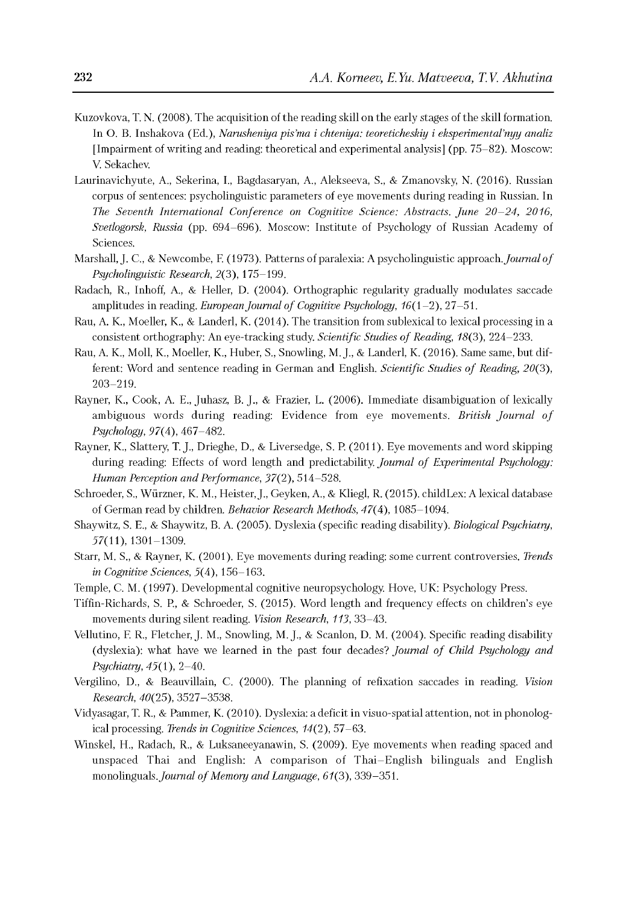- Kuzovkova, T. N. (2008). The acquisition of the reading skill on the early stages of the skill formation. In O. B. Inshakova (Ed.), *Narusheniya pis'ma i chteniya: teoreticheskiy i eksperimental'nyy analiz* [Impairment of writing and reading: theoretical and experimental analysis] (pp. 75-82). Moscow: V. Sekachev.
- Laurinavichyute, A., Sekerina, I., Bagdasaryan, A., Alekseeva, S., & Zmanovsky, N. (2016). Russian corpus of sentences: psycholinguistic parameters of eye movements during reading in Russian. In *The Seventh International Conference on Cognitive Science: Abstracts. June 20-24, 2016, Svetlogorsk, Russia* (pp. 694-696). Moscow: Institute of Psychology of Russian Academy of Sciences.
- Marshall, J. C., & Newcombe, F. (1973). Patterns of paralexia: A psycholinguistic approach. *Journal of Psycholinguistic Research,* 2(3), 175-199.
- Radach, R., Inhoff, A., & Heller, D. (2004). Orthographic regularity gradually modulates saccade amplitudes in reading. *European Journal of Cognitive Psychology*, 16(1-2), 27-51.
- Rau, A. K., Moeller, K., & Landerl, K. (2014). The transition from sublexical to lexical processing in a consistent orthography: An eye-tracking study. *Scientific Studies of Reading*, 18(3), 224–233.
- Rau, A. K., Moll, K., Moeller, K., Huber, S., Snowling, M. J., & Landerl, K. (2016). Same same, but different: Word and sentence reading in German and English. *Scientific Studies of Reading*, 20(3), 203-219.
- Rayner, K., Cook, A. E., Juhasz, B. J., & Frazier, L. (2006). Immediate disambiguation of lexically ambiguous words during reading: Evidence from eye movements. *British Journal of Psychology,* 97(4), 467-482.
- Rayner, K., Slattery, T. J., Drieghe, D., & Liversedge, S. P. (2011). Eye movements and word skipping during reading: Effects of word length and predictability. *Journal of Experimental Psychology: Human Perception and Performance,* 37(2), 514-528.
- Schroeder, S., Wurzner, K. M., Heister, J., Geyken, A., & Kliegl, R. (2015). childLex: A lexical database of German read by children. *Behavior Research Methods,* 47(4), 1085-1094.
- Shaywitz, S. E., & Shaywitz, B. A. (2005). Dyslexia (specific reading disability). *Biological Psychiatry,* 57(11), 1301-1309.
- Starr, M. S., & Rayner, K. (2001). Eye movements during reading: some current controversies. *Trends in Cognitive Sciences,* 5(4), 156-163.
- Temple, C. M. (1997). Developmental cognitive neuropsychology. Hove, UK: Psychology Press.
- Tiffin-Richards, S. P., & Schroeder, S. (2015). Word length and frequency effects on children's eye movements during silent reading. *Vision Research, 113,* 33-43.
- Vellutino, F. R., Fletcher, J. M., Snowling, M. J., & Scanlon, D. M. (2004). Specific reading disability (dyslexia): what have we learned in the past four decades? *Journal of Child Psychology and Psychiatry,* 45(1), 2-40.
- Vergilino, D., & Beauvillain, C. (2000). The planning of refixation saccades in reading. *Vision Research*, *40*(25), 3527-3538.
- Vidyasagar, T. R., & Pammer, K. (2010). Dyslexia: a deficit in visuo-spatial attention, not in phonological processing. *Trends in Cognitive Sciences*, *14*(2), 57-63.
- Winskel, H., Radach, R., & Luksaneeyanawin, S. (2009). Eye movements when reading spaced and unspaced Thai and English: A comparison of Thai-English bilinguals and English monolinguals. *Journal of Memory and Language*, 61(3), 339–351.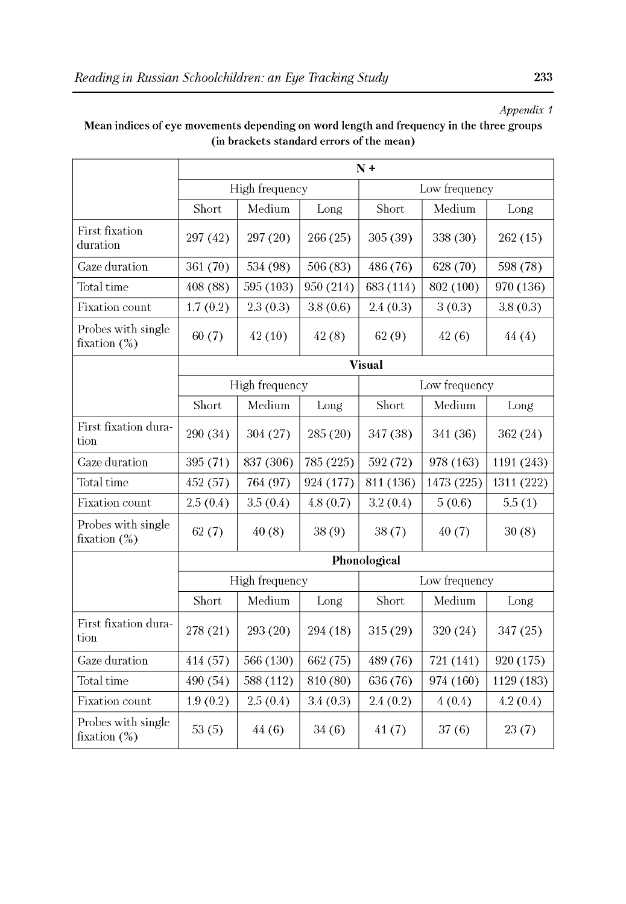## *Appendix 1*

## Mean indices of eye movements depending on word length and frequency in the three groups (in brackets standard errors of the mean)

|                                       | $N +$          |                |           |               |               |            |  |  |
|---------------------------------------|----------------|----------------|-----------|---------------|---------------|------------|--|--|
|                                       |                | High frequency |           |               | Low frequency |            |  |  |
|                                       | Short          | Medium         | Long      | Short         | Medium        | Long       |  |  |
| First fixation<br>duration            | 297 (42)       | 297 (20)       | 266 (25)  | 305 (39)      | 338 (30)      | 262(15)    |  |  |
| Gaze duration                         | 361 (70)       | 534 (98)       | 506 (83)  | 486 (76)      | 628 (70)      | 598 (78)   |  |  |
| Total time                            | 408 (88)       | 595 (103)      | 950 (214) | 683 (114)     | 802 (100)     | 970 (136)  |  |  |
| Fixation count                        | 1.7(0.2)       | 2.3(0.3)       | 3.8(0.6)  | 2.4(0.3)      | 3(0.3)        | 3.8(0.3)   |  |  |
| Probes with single<br>fixation $(\%)$ | 60(7)          | 42(10)         | 42(8)     | 62(9)         | 42(6)         | 44(4)      |  |  |
|                                       |                |                |           | <b>Visual</b> |               |            |  |  |
|                                       | High frequency |                |           |               | Low frequency |            |  |  |
|                                       | Short          | Medium         | Long      | Short         | Medium        | Long       |  |  |
| First fixation dura-<br>tion          | 290 (34)       | 304 (27)       | 285(20)   | 347 (38)      | 341 (36)      | 362 (24)   |  |  |
| Gaze duration                         | 395 (71)       | 837 (306)      | 785 (225) | 592 (72)      | 978 (163)     | 1191 (243) |  |  |
| Total time                            | 452 (57)       | 764 (97)       | 924 (177) | 811 (136)     | 1473 (225)    | 1311 (222) |  |  |
| Fixation count                        | 2.5(0.4)       | 3.5(0.4)       | 4.8(0.7)  | 3.2(0.4)      | 5(0.6)        | 5.5(1)     |  |  |
| Probes with single<br>fixation $(\%)$ | 62(7)          | 40(8)          | 38(9)     | 38(7)         | 40(7)         | 30(8)      |  |  |
|                                       |                |                |           | Phonological  |               |            |  |  |
|                                       |                | High frequency |           |               | Low frequency |            |  |  |
|                                       | Short          | Medium         | Long      | Short         | Medium        | Long       |  |  |
| First fixation dura-<br>tion          | 278 (21)       | 293 (20)       | 294 (18)  | 315 (29)      | 320 (24)      | 347 (25)   |  |  |
| Gaze duration                         | 414 (57)       | 566 (130)      | 662 (75)  | 489 (76)      | 721 (141)     | 920 (175)  |  |  |
| Total time                            | 490 (54)       | 588 (112)      | 810 (80)  | 636 (76)      | 974 (160)     | 1129 (183) |  |  |
| Fixation count                        | 1.9(0.2)       | 2.5(0.4)       | 3.4(0.3)  | 2.4(0.2)      | 4(0.4)        | 4.2(0.4)   |  |  |
| Probes with single<br>fixation $(\%)$ | 53(5)          | 44 (6)         | 34(6)     | 41(7)         | 37(6)         | 23(7)      |  |  |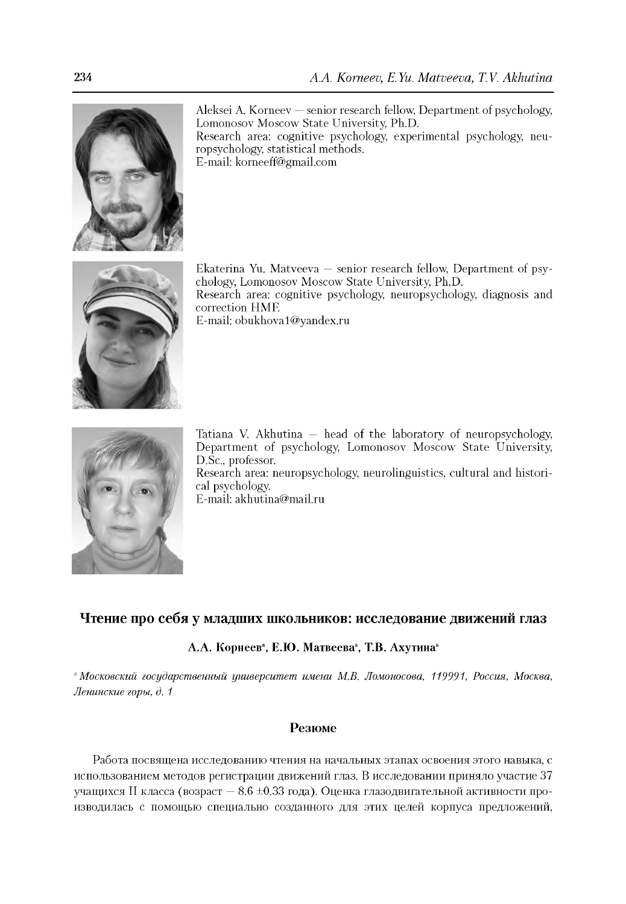

Aleksei A. Korneev — senior research fellow, Department of psychology, Lomonosov Moscow State University, Ph.D. Research area: cognitive psychology, experimental psychology, neuropsychology, statistical methods. E-mail: [korneeff@gmail.com](mailto:korneeff@gmail.com)



Ekaterina Yu. Matveeva — senior research fellow, Department of psychology, Lomonosov Moscow State University, Ph.D. Research area: cognitive psychology, neuropsychology, diagnosis and correction HMF. E-mail: [obukhova1@yandex.ru](mailto:obukhova1@yandex.ru)



Tatiana V. Akhutina — head of the laboratory of neuropsychology, Department of psychology, Lomonosov Moscow State University, D.Sc., professor.

Research area: neuropsychology, neurolinguistics, cultural and historical psychology.

E-mail: [akhutina@mail.ru](mailto:akhutina@mail.ru)

#### **Чтение про себя у младших школьников: исследование движений глаз**

#### **А.А. Корнеев", Е.Ю. Матвеева", Т.В. Ахутина"**

*"Московский государственный университет имени М.В. Ломоносова, 119991, Россия, Москва, Ленинские горы, д. 1*

#### **Резюме**

Работа посвящена исследованию чтения на начальных этапах освоения этого навыка, с использованием методов регистрации движений глаз. В исследовании приняло участие 37 учащихся II класса (возраст  $-8.6 \pm 0.33$  года). Оценка глазодвигательной активности производилась с помощью специально созданного для этих целей корпуса предложений,